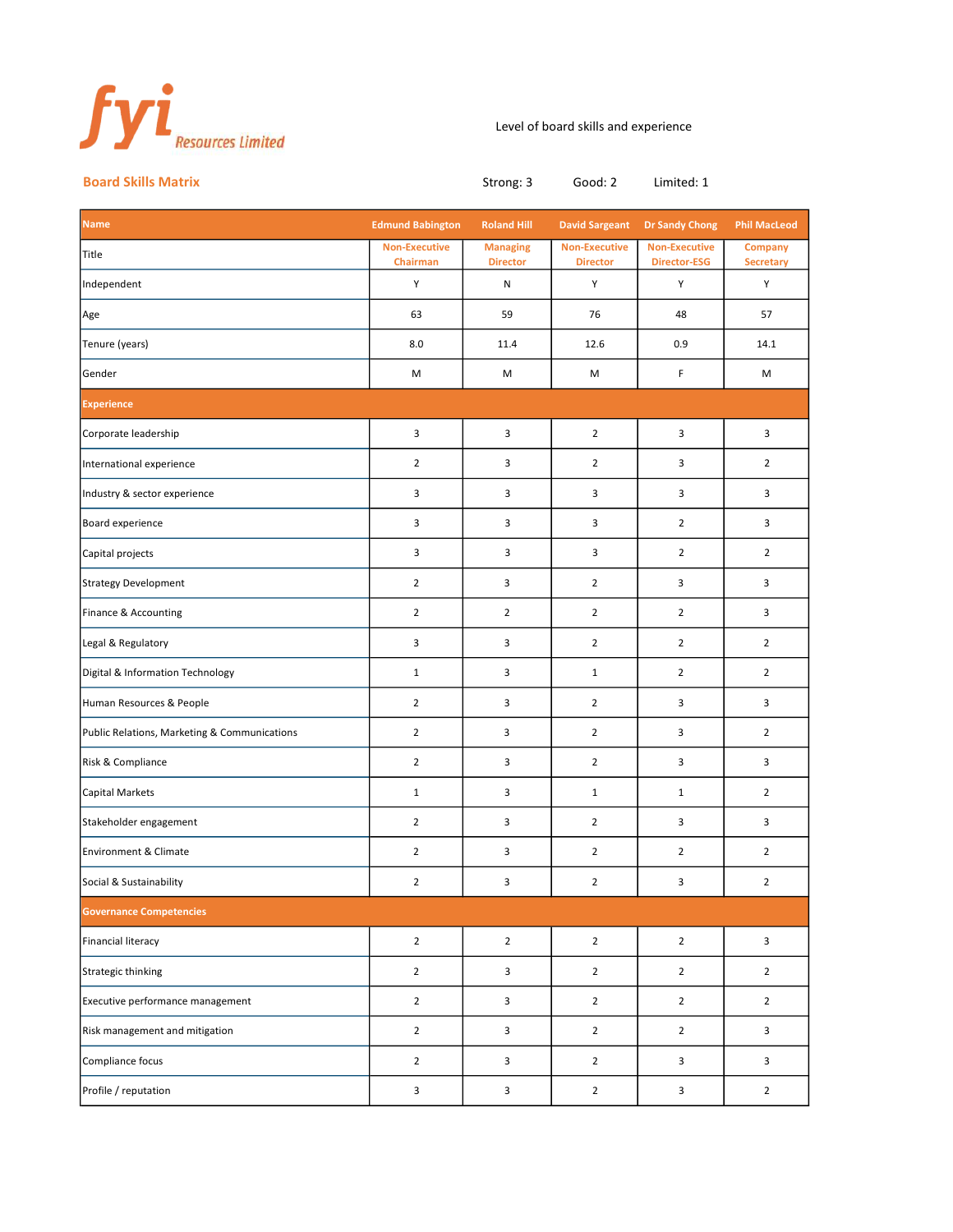

## Level of board skills and experience

Board Skills Matrix **Board Skills Matrix** Strong: 3 Good: 2 Limited: 1

| <b>Name</b>                                  | <b>Edmund Babington</b>          | <b>Roland Hill</b>                 | <b>David Sargeant</b>                   | <b>Dr Sandy Chong</b>                       | <b>Phil MacLeod</b>                |  |  |  |
|----------------------------------------------|----------------------------------|------------------------------------|-----------------------------------------|---------------------------------------------|------------------------------------|--|--|--|
| Title                                        | <b>Non-Executive</b><br>Chairman | <b>Managing</b><br><b>Director</b> | <b>Non-Executive</b><br><b>Director</b> | <b>Non-Executive</b><br><b>Director-ESG</b> | <b>Company</b><br><b>Secretary</b> |  |  |  |
| Independent                                  | Υ                                | N                                  | Υ                                       | Υ                                           | Υ                                  |  |  |  |
| Age                                          | 63                               | 59                                 | 76                                      | 48                                          | 57                                 |  |  |  |
| Tenure (years)                               | 8.0                              | 11.4                               | 12.6                                    | 0.9                                         | 14.1                               |  |  |  |
| Gender                                       | M                                | M                                  | M                                       | F                                           | M                                  |  |  |  |
| <b>Experience</b>                            |                                  |                                    |                                         |                                             |                                    |  |  |  |
| Corporate leadership                         | 3                                | 3                                  | $\overline{2}$                          | 3                                           | 3                                  |  |  |  |
| International experience                     | $\overline{2}$                   | 3                                  | $\overline{2}$                          | 3                                           | $\overline{2}$                     |  |  |  |
| Industry & sector experience                 | 3                                | 3                                  | 3                                       | 3                                           | 3                                  |  |  |  |
| Board experience                             | 3                                | 3                                  | 3                                       | $\overline{2}$                              | 3                                  |  |  |  |
| Capital projects                             | 3                                | 3                                  | 3                                       | $\overline{2}$                              | $\overline{2}$                     |  |  |  |
| <b>Strategy Development</b>                  | $\overline{2}$                   | 3                                  | $\overline{2}$                          | 3                                           | 3                                  |  |  |  |
| Finance & Accounting                         | $\overline{2}$                   | $\overline{2}$                     | $\overline{2}$                          | $\overline{2}$                              | 3                                  |  |  |  |
| Legal & Regulatory                           | 3                                | 3                                  | $\overline{2}$                          | $\overline{2}$                              | $\overline{2}$                     |  |  |  |
| Digital & Information Technology             | $\mathbf{1}$                     | 3                                  | $\mathbf{1}$                            | $\overline{2}$                              | $\overline{2}$                     |  |  |  |
| Human Resources & People                     | $\overline{2}$                   | 3                                  | $\overline{2}$                          | 3                                           | 3                                  |  |  |  |
| Public Relations, Marketing & Communications | $\overline{2}$                   | 3                                  | $\overline{2}$                          | 3                                           | $\overline{2}$                     |  |  |  |
| Risk & Compliance                            | $\overline{2}$                   | 3                                  | $\overline{2}$                          | 3                                           | 3                                  |  |  |  |
| Capital Markets                              | $\mathbf{1}$                     | 3                                  | $\mathbf{1}$                            | $\mathbf{1}$                                | $\overline{2}$                     |  |  |  |
| Stakeholder engagement                       | $\overline{2}$                   | 3                                  | $\overline{2}$                          | 3                                           | 3                                  |  |  |  |
| Environment & Climate                        | $\overline{2}$                   | 3                                  | $\overline{2}$                          | $\overline{2}$                              | $\overline{2}$                     |  |  |  |
| Social & Sustainability                      | $\overline{2}$                   | 3                                  | $\overline{2}$                          | 3                                           | $\overline{2}$                     |  |  |  |
| <b>Governance Competencies</b>               |                                  |                                    |                                         |                                             |                                    |  |  |  |
| <b>Financial literacy</b>                    | $\overline{2}$                   | $\overline{2}$                     | $\overline{2}$                          | $\overline{2}$                              | 3                                  |  |  |  |
| Strategic thinking                           | $\overline{2}$                   | $\mathbf{3}$                       | $\overline{2}$                          | $\overline{2}$                              | $\overline{2}$                     |  |  |  |
| Executive performance management             | $\overline{2}$                   | 3                                  | $\overline{2}$                          | $\overline{2}$                              | $\overline{2}$                     |  |  |  |
| Risk management and mitigation               | $\mathbf 2$                      | 3                                  | $\mathbf{2}$                            | $\overline{2}$                              | $\mathbf{3}$                       |  |  |  |
| Compliance focus                             | $\overline{2}$                   | 3                                  | $\overline{2}$                          | $\mathbf{3}$                                | 3                                  |  |  |  |
| Profile / reputation                         | $\mathbf{3}$                     | 3                                  | $\overline{2}$                          | $\mathbf{3}$                                | $\overline{2}$                     |  |  |  |